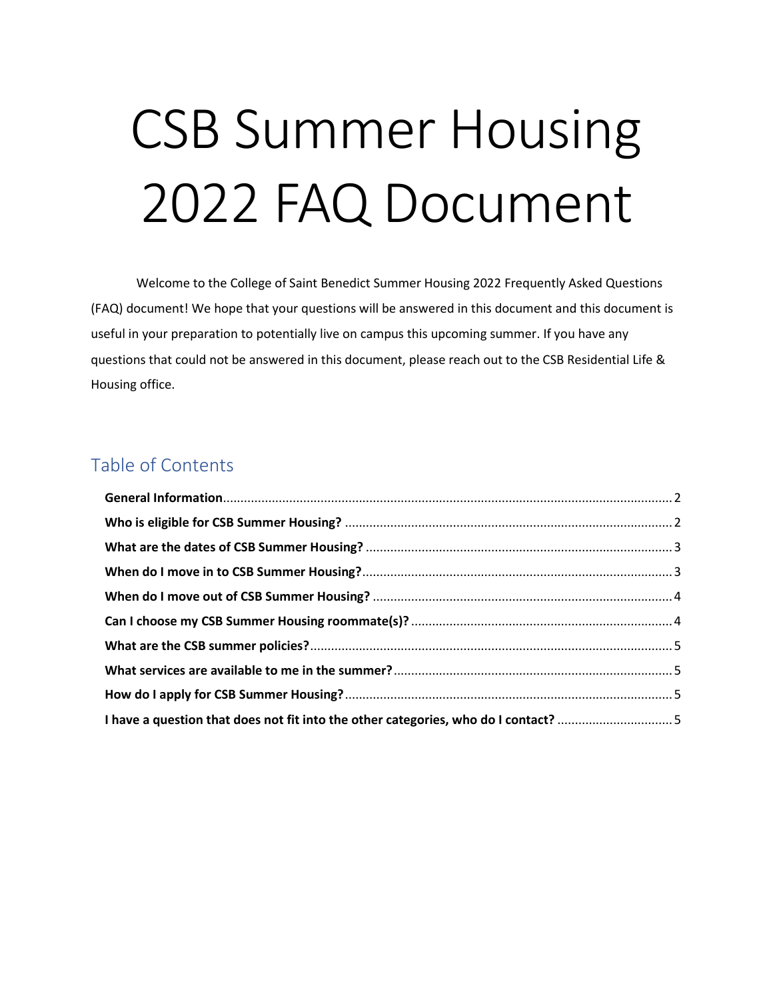# CSB Summer Housing 2022 FAQ Document

Welcome to the College of Saint Benedict Summer Housing 2022 Frequently Asked Questions (FAQ) document! We hope that your questions will be answered in this document and this document is useful in your preparation to potentially live on campus this upcoming summer. If you have any questions that could not be answered in this document, please reach out to the CSB Residential Life & Housing office.

# Table of Contents

| I have a question that does not fit into the other categories, who do I contact? 5 |  |
|------------------------------------------------------------------------------------|--|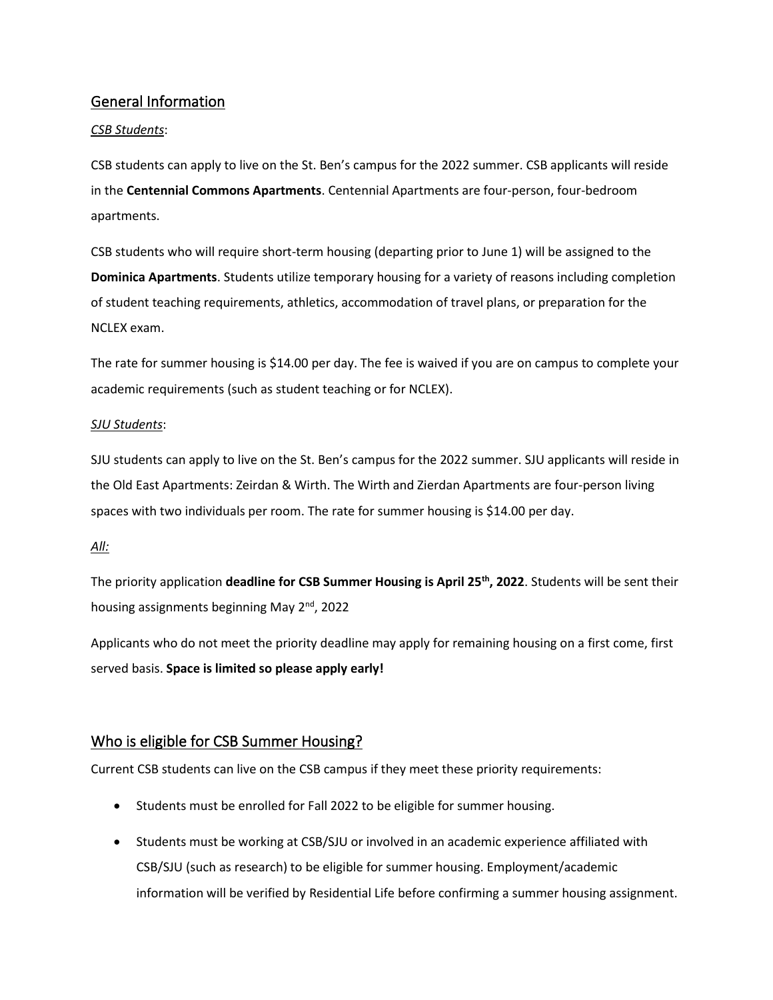### <span id="page-1-0"></span>General Information

#### *CSB Students*:

CSB students can apply to live on the St. Ben's campus for the 2022 summer. CSB applicants will reside in the **Centennial Commons Apartments**. Centennial Apartments are four-person, four-bedroom apartments.

CSB students who will require short-term housing (departing prior to June 1) will be assigned to the **Dominica Apartments**. Students utilize temporary housing for a variety of reasons including completion of student teaching requirements, athletics, accommodation of travel plans, or preparation for the NCLEX exam.

The rate for summer housing is \$14.00 per day. The fee is waived if you are on campus to complete your academic requirements (such as student teaching or for NCLEX).

#### *SJU Students*:

SJU students can apply to live on the St. Ben's campus for the 2022 summer. SJU applicants will reside in the Old East Apartments: Zeirdan & Wirth. The Wirth and Zierdan Apartments are four-person living spaces with two individuals per room. The rate for summer housing is \$14.00 per day.

#### *All:*

The priority application **deadline for CSB Summer Housing is April 25th, 2022**. Students will be sent their housing assignments beginning May 2<sup>nd</sup>, 2022

Applicants who do not meet the priority deadline may apply for remaining housing on a first come, first served basis. **Space is limited so please apply early!**

# <span id="page-1-1"></span>Who is eligible for CSB Summer Housing?

Current CSB students can live on the CSB campus if they meet these priority requirements:

- Students must be enrolled for Fall 2022 to be eligible for summer housing.
- Students must be working at CSB/SJU or involved in an academic experience affiliated with CSB/SJU (such as research) to be eligible for summer housing. Employment/academic information will be verified by Residential Life before confirming a summer housing assignment.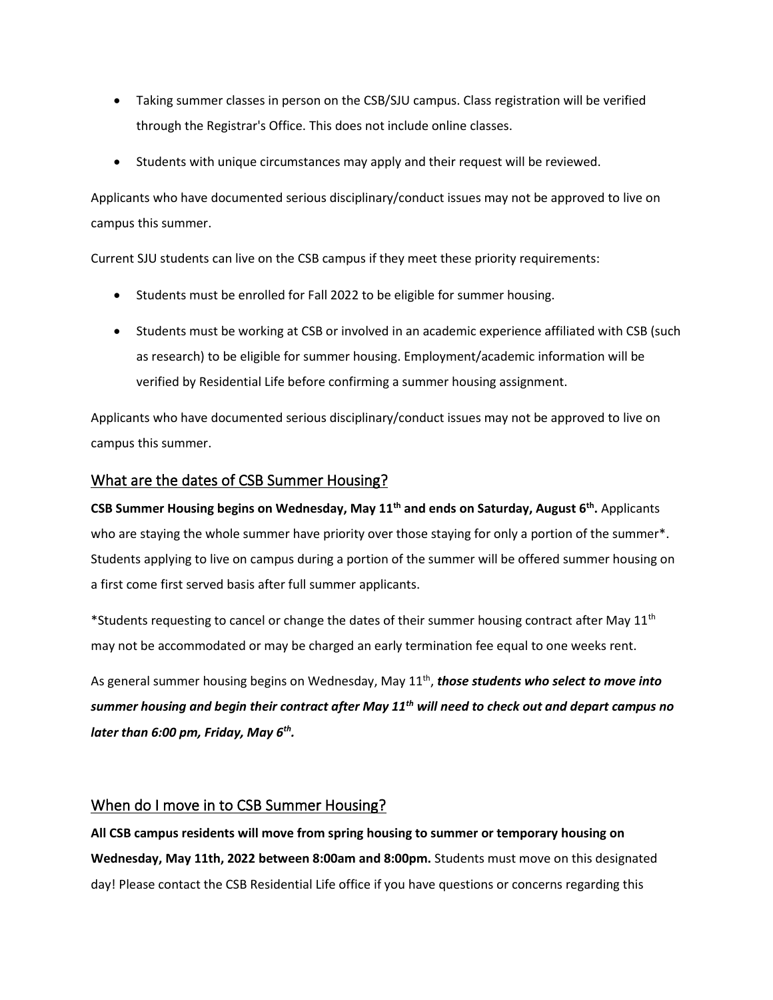- Taking summer classes in person on the CSB/SJU campus. Class registration will be verified through the Registrar's Office. This does not include online classes.
- Students with unique circumstances may apply and their request will be reviewed.

Applicants who have documented serious disciplinary/conduct issues may not be approved to live on campus this summer.

Current SJU students can live on the CSB campus if they meet these priority requirements:

- Students must be enrolled for Fall 2022 to be eligible for summer housing.
- Students must be working at CSB or involved in an academic experience affiliated with CSB (such as research) to be eligible for summer housing. Employment/academic information will be verified by Residential Life before confirming a summer housing assignment.

Applicants who have documented serious disciplinary/conduct issues may not be approved to live on campus this summer.

#### <span id="page-2-0"></span>What are the dates of CSB Summer Housing?

**CSB Summer Housing begins on Wednesday, May 11th and ends on Saturday, August 6th .** Applicants who are staying the whole summer have priority over those staying for only a portion of the summer\*. Students applying to live on campus during a portion of the summer will be offered summer housing on a first come first served basis after full summer applicants.

\*Students requesting to cancel or change the dates of their summer housing contract after May 11<sup>th</sup> may not be accommodated or may be charged an early termination fee equal to one weeks rent.

As general summer housing begins on Wednesday, May 11<sup>th</sup>, those students who select to move into *summer housing and begin their contract after May 11th will need to check out and depart campus no later than 6:00 pm, Friday, May 6th .*

# <span id="page-2-1"></span>When do I move in to CSB Summer Housing?

**All CSB campus residents will move from spring housing to summer or temporary housing on Wednesday, May 11th, 2022 between 8:00am and 8:00pm.** Students must move on this designated day! Please contact the CSB Residential Life office if you have questions or concerns regarding this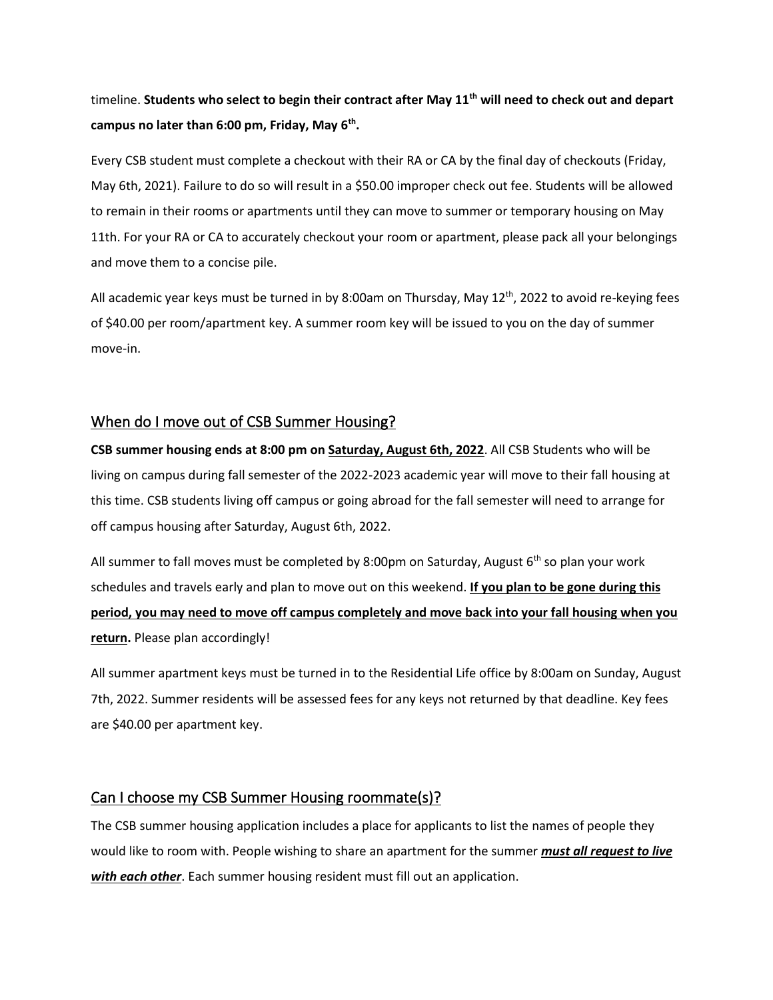timeline. **Students who select to begin their contract after May 11th will need to check out and depart campus no later than 6:00 pm, Friday, May 6th .**

Every CSB student must complete a checkout with their RA or CA by the final day of checkouts (Friday, May 6th, 2021). Failure to do so will result in a \$50.00 improper check out fee. Students will be allowed to remain in their rooms or apartments until they can move to summer or temporary housing on May 11th. For your RA or CA to accurately checkout your room or apartment, please pack all your belongings and move them to a concise pile.

All academic year keys must be turned in by 8:00am on Thursday, May  $12^{th}$ , 2022 to avoid re-keying fees of \$40.00 per room/apartment key. A summer room key will be issued to you on the day of summer move-in.

#### <span id="page-3-0"></span>When do I move out of CSB Summer Housing?

**CSB summer housing ends at 8:00 pm on Saturday, August 6th, 2022**. All CSB Students who will be living on campus during fall semester of the 2022-2023 academic year will move to their fall housing at this time. CSB students living off campus or going abroad for the fall semester will need to arrange for off campus housing after Saturday, August 6th, 2022.

All summer to fall moves must be completed by 8:00pm on Saturday, August  $6<sup>th</sup>$  so plan your work schedules and travels early and plan to move out on this weekend. **If you plan to be gone during this period, you may need to move off campus completely and move back into your fall housing when you return.** Please plan accordingly!

All summer apartment keys must be turned in to the Residential Life office by 8:00am on Sunday, August 7th, 2022. Summer residents will be assessed fees for any keys not returned by that deadline. Key fees are \$40.00 per apartment key.

#### <span id="page-3-1"></span>Can I choose my CSB Summer Housing roommate(s)?

The CSB summer housing application includes a place for applicants to list the names of people they would like to room with. People wishing to share an apartment for the summer *must all request to live with each other*. Each summer housing resident must fill out an application.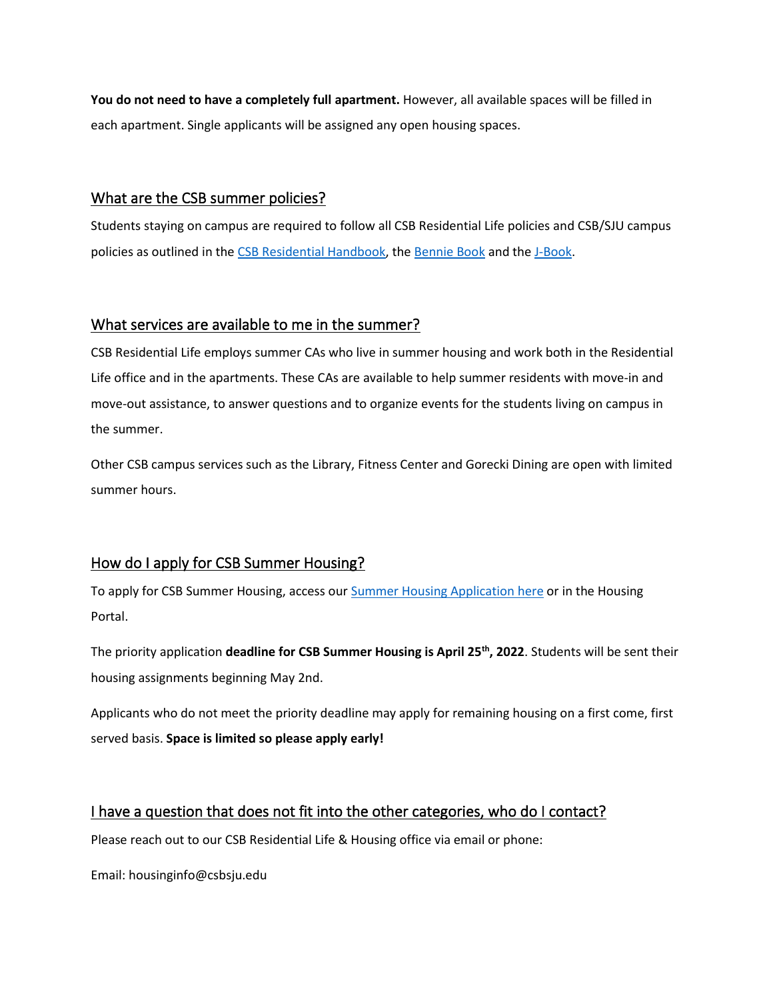**You do not need to have a completely full apartment.** However, all available spaces will be filled in each apartment. Single applicants will be assigned any open housing spaces.

### <span id="page-4-0"></span>What are the CSB summer policies?

Students staying on campus are required to follow all CSB Residential Life policies and CSB/SJU campus policies as outlined in the [CSB Residential Handbook,](http://www1.csbsju.edu/csbreslife/handbook/default.htm) the [Bennie Book](http://www1.csbsju.edu/benniebook/) and th[e J-Book.](http://www1.csbsju.edu/jbook/)

#### <span id="page-4-1"></span>What services are available to me in the summer?

CSB Residential Life employs summer CAs who live in summer housing and work both in the Residential Life office and in the apartments. These CAs are available to help summer residents with move-in and move-out assistance, to answer questions and to organize events for the students living on campus in the summer.

Other CSB campus services such as the Library, Fitness Center and Gorecki Dining are open with limited summer hours.

# <span id="page-4-2"></span>How do I apply for CSB Summer Housing?

To apply for CSB Summer Housing, access our [Summer Housing Application here](https://www.csbsju.edu/forms/FHTKL5CWSC) or in the Housing Portal.

The priority application **deadline for CSB Summer Housing is April 25th , 2022**. Students will be sent their housing assignments beginning May 2nd.

Applicants who do not meet the priority deadline may apply for remaining housing on a first come, first served basis. **Space is limited so please apply early!**

# <span id="page-4-3"></span>I have a question that does not fit into the other categories, who do I contact?

Please reach out to our CSB Residential Life & Housing office via email or phone:

Email: housinginfo@csbsju.edu